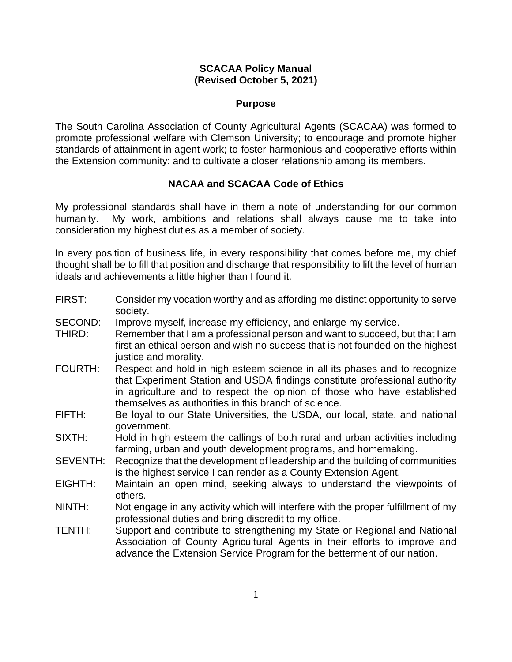# **SCACAA Policy Manual (Revised October 5, 2021)**

#### **Purpose**

The South Carolina Association of County Agricultural Agents (SCACAA) was formed to promote professional welfare with Clemson University; to encourage and promote higher standards of attainment in agent work; to foster harmonious and cooperative efforts within the Extension community; and to cultivate a closer relationship among its members.

# **NACAA and SCACAA Code of Ethics**

My professional standards shall have in them a note of understanding for our common humanity. My work, ambitions and relations shall always cause me to take into consideration my highest duties as a member of society.

In every position of business life, in every responsibility that comes before me, my chief thought shall be to fill that position and discharge that responsibility to lift the level of human ideals and achievements a little higher than I found it.

- FIRST: Consider my vocation worthy and as affording me distinct opportunity to serve society.
- SECOND: Improve myself, increase my efficiency, and enlarge my service.
- THIRD: Remember that I am a professional person and want to succeed, but that I am first an ethical person and wish no success that is not founded on the highest justice and morality.
- FOURTH: Respect and hold in high esteem science in all its phases and to recognize that Experiment Station and USDA findings constitute professional authority in agriculture and to respect the opinion of those who have established themselves as authorities in this branch of science.
- FIFTH: Be loyal to our State Universities, the USDA, our local, state, and national government.
- SIXTH: Hold in high esteem the callings of both rural and urban activities including farming, urban and youth development programs, and homemaking.
- SEVENTH: Recognize that the development of leadership and the building of communities is the highest service I can render as a County Extension Agent.
- EIGHTH: Maintain an open mind, seeking always to understand the viewpoints of others.
- NINTH: Not engage in any activity which will interfere with the proper fulfillment of my professional duties and bring discredit to my office.
- TENTH: Support and contribute to strengthening my State or Regional and National Association of County Agricultural Agents in their efforts to improve and advance the Extension Service Program for the betterment of our nation.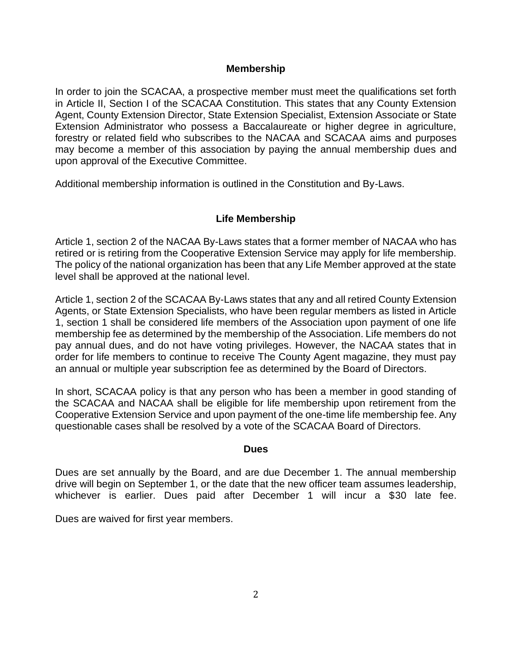### **Membership**

In order to join the SCACAA, a prospective member must meet the qualifications set forth in Article II, Section I of the SCACAA Constitution. This states that any County Extension Agent, County Extension Director, State Extension Specialist, Extension Associate or State Extension Administrator who possess a Baccalaureate or higher degree in agriculture, forestry or related field who subscribes to the NACAA and SCACAA aims and purposes may become a member of this association by paying the annual membership dues and upon approval of the Executive Committee.

Additional membership information is outlined in the Constitution and By-Laws.

# **Life Membership**

Article 1, section 2 of the NACAA By-Laws states that a former member of NACAA who has retired or is retiring from the Cooperative Extension Service may apply for life membership. The policy of the national organization has been that any Life Member approved at the state level shall be approved at the national level.

Article 1, section 2 of the SCACAA By-Laws states that any and all retired County Extension Agents, or State Extension Specialists, who have been regular members as listed in Article 1, section 1 shall be considered life members of the Association upon payment of one life membership fee as determined by the membership of the Association. Life members do not pay annual dues, and do not have voting privileges. However, the NACAA states that in order for life members to continue to receive The County Agent magazine, they must pay an annual or multiple year subscription fee as determined by the Board of Directors.

In short, SCACAA policy is that any person who has been a member in good standing of the SCACAA and NACAA shall be eligible for life membership upon retirement from the Cooperative Extension Service and upon payment of the one-time life membership fee. Any questionable cases shall be resolved by a vote of the SCACAA Board of Directors.

#### **Dues**

Dues are set annually by the Board, and are due December 1. The annual membership drive will begin on September 1, or the date that the new officer team assumes leadership, whichever is earlier. Dues paid after December 1 will incur a \$30 late fee.

Dues are waived for first year members.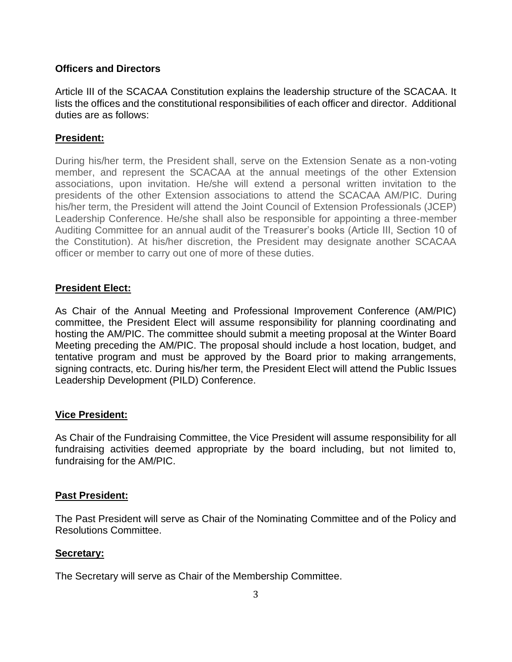### **Officers and Directors**

Article III of the SCACAA Constitution explains the leadership structure of the SCACAA. It lists the offices and the constitutional responsibilities of each officer and director. Additional duties are as follows:

# **President:**

During his/her term, the President shall, serve on the Extension Senate as a non-voting member, and represent the SCACAA at the annual meetings of the other Extension associations, upon invitation. He/she will extend a personal written invitation to the presidents of the other Extension associations to attend the SCACAA AM/PIC. During his/her term, the President will attend the Joint Council of Extension Professionals (JCEP) Leadership Conference. He/she shall also be responsible for appointing a three-member Auditing Committee for an annual audit of the Treasurer's books (Article III, Section 10 of the Constitution). At his/her discretion, the President may designate another SCACAA officer or member to carry out one of more of these duties.

# **President Elect:**

As Chair of the Annual Meeting and Professional Improvement Conference (AM/PIC) committee, the President Elect will assume responsibility for planning coordinating and hosting the AM/PIC. The committee should submit a meeting proposal at the Winter Board Meeting preceding the AM/PIC. The proposal should include a host location, budget, and tentative program and must be approved by the Board prior to making arrangements, signing contracts, etc. During his/her term, the President Elect will attend the Public Issues Leadership Development (PILD) Conference.

#### **Vice President:**

As Chair of the Fundraising Committee, the Vice President will assume responsibility for all fundraising activities deemed appropriate by the board including, but not limited to, fundraising for the AM/PIC.

#### **Past President:**

The Past President will serve as Chair of the Nominating Committee and of the Policy and Resolutions Committee.

#### **Secretary:**

The Secretary will serve as Chair of the Membership Committee.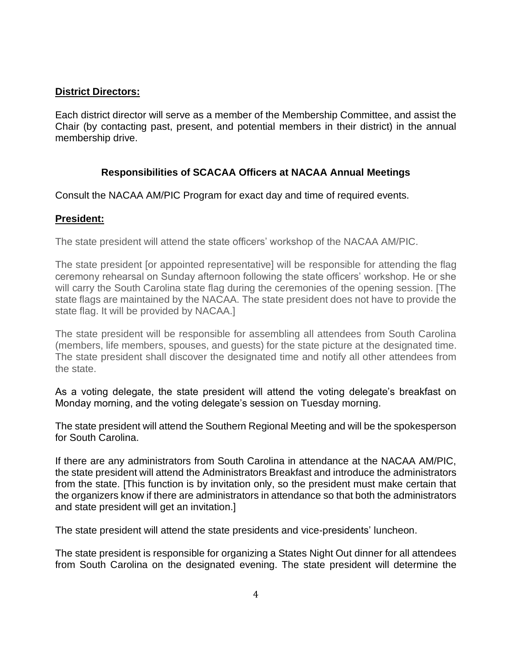# **District Directors:**

Each district director will serve as a member of the Membership Committee, and assist the Chair (by contacting past, present, and potential members in their district) in the annual membership drive.

# **Responsibilities of SCACAA Officers at NACAA Annual Meetings**

Consult the NACAA AM/PIC Program for exact day and time of required events.

# **President:**

The state president will attend the state officers' workshop of the NACAA AM/PIC.

The state president [or appointed representative] will be responsible for attending the flag ceremony rehearsal on Sunday afternoon following the state officers' workshop. He or she will carry the South Carolina state flag during the ceremonies of the opening session. [The state flags are maintained by the NACAA. The state president does not have to provide the state flag. It will be provided by NACAA.]

The state president will be responsible for assembling all attendees from South Carolina (members, life members, spouses, and guests) for the state picture at the designated time. The state president shall discover the designated time and notify all other attendees from the state.

As a voting delegate, the state president will attend the voting delegate's breakfast on Monday morning, and the voting delegate's session on Tuesday morning.

The state president will attend the Southern Regional Meeting and will be the spokesperson for South Carolina.

If there are any administrators from South Carolina in attendance at the NACAA AM/PIC, the state president will attend the Administrators Breakfast and introduce the administrators from the state. [This function is by invitation only, so the president must make certain that the organizers know if there are administrators in attendance so that both the administrators and state president will get an invitation.]

The state president will attend the state presidents and vice-presidents' luncheon.

The state president is responsible for organizing a States Night Out dinner for all attendees from South Carolina on the designated evening. The state president will determine the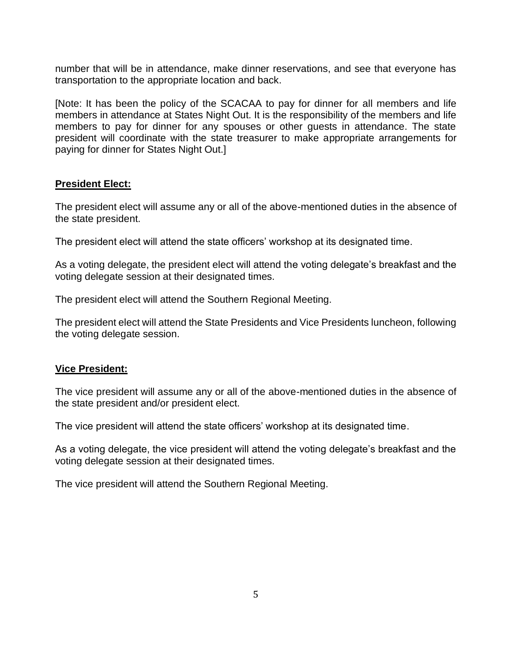number that will be in attendance, make dinner reservations, and see that everyone has transportation to the appropriate location and back.

[Note: It has been the policy of the SCACAA to pay for dinner for all members and life members in attendance at States Night Out. It is the responsibility of the members and life members to pay for dinner for any spouses or other guests in attendance. The state president will coordinate with the state treasurer to make appropriate arrangements for paying for dinner for States Night Out.]

#### **President Elect:**

The president elect will assume any or all of the above-mentioned duties in the absence of the state president.

The president elect will attend the state officers' workshop at its designated time.

As a voting delegate, the president elect will attend the voting delegate's breakfast and the voting delegate session at their designated times.

The president elect will attend the Southern Regional Meeting.

The president elect will attend the State Presidents and Vice Presidents luncheon, following the voting delegate session.

#### **Vice President:**

The vice president will assume any or all of the above-mentioned duties in the absence of the state president and/or president elect.

The vice president will attend the state officers' workshop at its designated time.

As a voting delegate, the vice president will attend the voting delegate's breakfast and the voting delegate session at their designated times.

The vice president will attend the Southern Regional Meeting.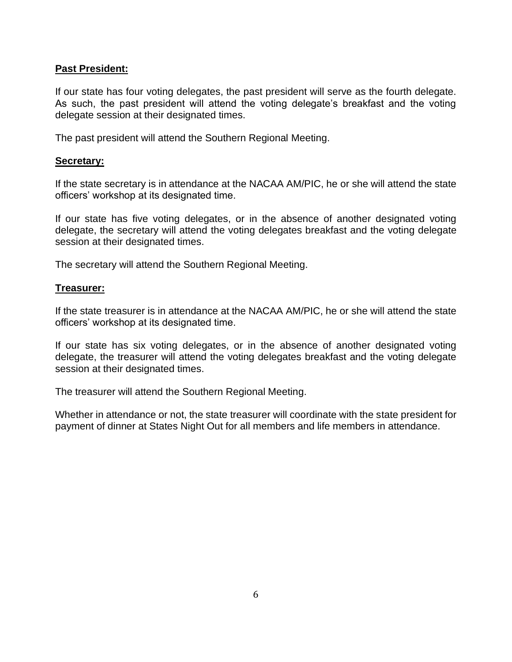# **Past President:**

If our state has four voting delegates, the past president will serve as the fourth delegate. As such, the past president will attend the voting delegate's breakfast and the voting delegate session at their designated times.

The past president will attend the Southern Regional Meeting.

### **Secretary:**

If the state secretary is in attendance at the NACAA AM/PIC, he or she will attend the state officers' workshop at its designated time.

If our state has five voting delegates, or in the absence of another designated voting delegate, the secretary will attend the voting delegates breakfast and the voting delegate session at their designated times.

The secretary will attend the Southern Regional Meeting.

### **Treasurer:**

If the state treasurer is in attendance at the NACAA AM/PIC, he or she will attend the state officers' workshop at its designated time.

If our state has six voting delegates, or in the absence of another designated voting delegate, the treasurer will attend the voting delegates breakfast and the voting delegate session at their designated times.

The treasurer will attend the Southern Regional Meeting.

Whether in attendance or not, the state treasurer will coordinate with the state president for payment of dinner at States Night Out for all members and life members in attendance.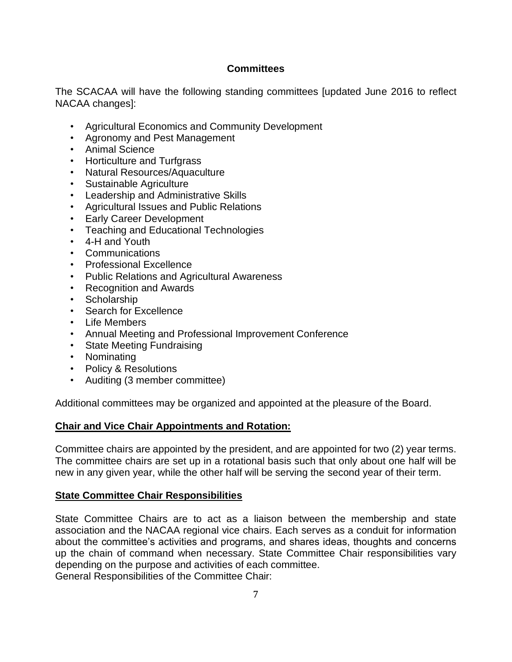# **Committees**

The SCACAA will have the following standing committees [updated June 2016 to reflect NACAA changes]:

- Agricultural Economics and Community Development
- Agronomy and Pest Management
- Animal Science
- Horticulture and Turfgrass
- Natural Resources/Aquaculture
- Sustainable Agriculture
- Leadership and Administrative Skills
- Agricultural Issues and Public Relations
- Early Career Development
- Teaching and Educational Technologies
- 4-H and Youth
- Communications
- Professional Excellence
- Public Relations and Agricultural Awareness
- Recognition and Awards
- Scholarship
- Search for Excellence
- Life Members
- Annual Meeting and Professional Improvement Conference
- State Meeting Fundraising
- Nominating
- Policy & Resolutions
- Auditing (3 member committee)

Additional committees may be organized and appointed at the pleasure of the Board.

# **Chair and Vice Chair Appointments and Rotation:**

Committee chairs are appointed by the president, and are appointed for two (2) year terms. The committee chairs are set up in a rotational basis such that only about one half will be new in any given year, while the other half will be serving the second year of their term.

# **State Committee Chair Responsibilities**

State Committee Chairs are to act as a liaison between the membership and state association and the NACAA regional vice chairs. Each serves as a conduit for information about the committee's activities and programs, and shares ideas, thoughts and concerns up the chain of command when necessary. State Committee Chair responsibilities vary depending on the purpose and activities of each committee. General Responsibilities of the Committee Chair: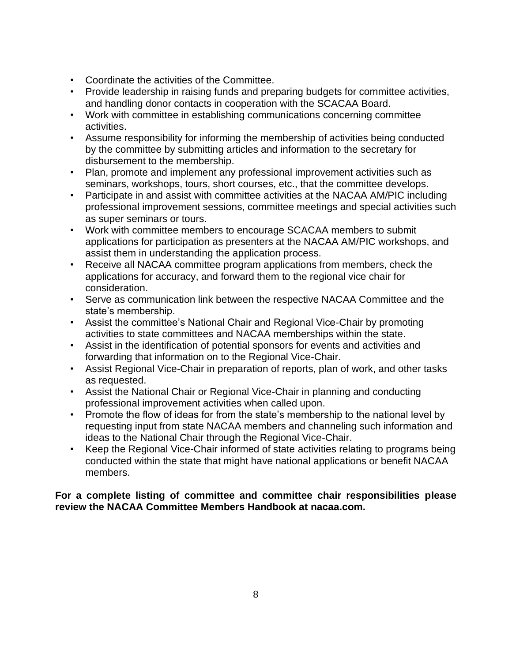- Coordinate the activities of the Committee.
- Provide leadership in raising funds and preparing budgets for committee activities, and handling donor contacts in cooperation with the SCACAA Board.
- Work with committee in establishing communications concerning committee activities.
- Assume responsibility for informing the membership of activities being conducted by the committee by submitting articles and information to the secretary for disbursement to the membership.
- Plan, promote and implement any professional improvement activities such as seminars, workshops, tours, short courses, etc., that the committee develops.
- Participate in and assist with committee activities at the NACAA AM/PIC including professional improvement sessions, committee meetings and special activities such as super seminars or tours.
- Work with committee members to encourage SCACAA members to submit applications for participation as presenters at the NACAA AM/PIC workshops, and assist them in understanding the application process.
- Receive all NACAA committee program applications from members, check the applications for accuracy, and forward them to the regional vice chair for consideration.
- Serve as communication link between the respective NACAA Committee and the state's membership.
- Assist the committee's National Chair and Regional Vice-Chair by promoting activities to state committees and NACAA memberships within the state.
- Assist in the identification of potential sponsors for events and activities and forwarding that information on to the Regional Vice-Chair.
- Assist Regional Vice-Chair in preparation of reports, plan of work, and other tasks as requested.
- Assist the National Chair or Regional Vice-Chair in planning and conducting professional improvement activities when called upon.
- Promote the flow of ideas for from the state's membership to the national level by requesting input from state NACAA members and channeling such information and ideas to the National Chair through the Regional Vice-Chair.
- Keep the Regional Vice-Chair informed of state activities relating to programs being conducted within the state that might have national applications or benefit NACAA members.

# **For a complete listing of committee and committee chair responsibilities please review the NACAA Committee Members Handbook at nacaa.com.**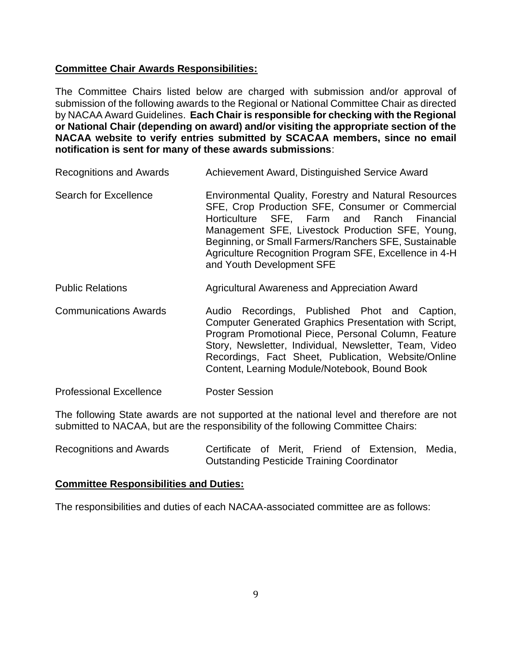# **Committee Chair Awards Responsibilities:**

The Committee Chairs listed below are charged with submission and/or approval of submission of the following awards to the Regional or National Committee Chair as directed by NACAA Award Guidelines. **Each Chair is responsible for checking with the Regional or National Chair (depending on award) and/or visiting the appropriate section of the NACAA website to verify entries submitted by SCACAA members, since no email notification is sent for many of these awards submissions**:

- Recognitions and Awards **Achievement Award, Distinguished Service Award**
- Search for Excellence **Environmental Quality, Forestry and Natural Resources** SFE, Crop Production SFE, Consumer or Commercial Horticulture SFE, Farm and Ranch Financial Management SFE, Livestock Production SFE, Young, Beginning, or Small Farmers/Ranchers SFE, Sustainable Agriculture Recognition Program SFE, Excellence in 4-H and Youth Development SFE
- Public Relations **Agricultural Awareness and Appreciation Award**
- Communications Awards Audio Recordings, Published Phot and Caption, Computer Generated Graphics Presentation with Script, Program Promotional Piece, Personal Column, Feature Story, Newsletter, Individual, Newsletter, Team, Video Recordings, Fact Sheet, Publication, Website/Online Content, Learning Module/Notebook, Bound Book
- Professional Excellence Poster Session

The following State awards are not supported at the national level and therefore are not submitted to NACAA, but are the responsibility of the following Committee Chairs:

Recognitions and Awards **Certificate** of Merit, Friend of Extension, Media, Outstanding Pesticide Training Coordinator

#### **Committee Responsibilities and Duties:**

The responsibilities and duties of each NACAA-associated committee are as follows: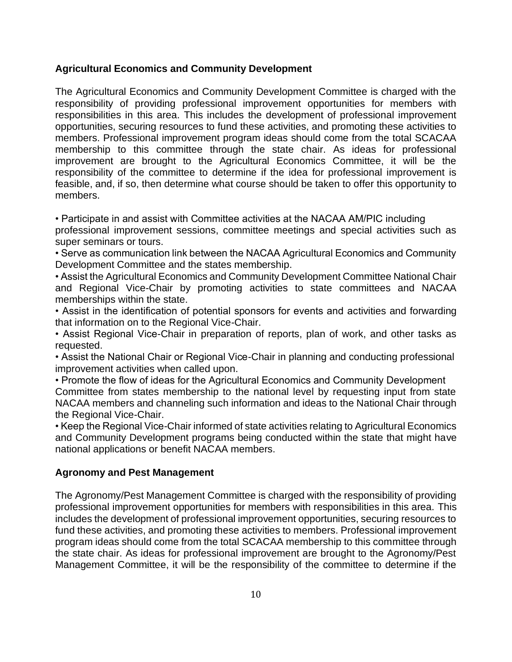### **Agricultural Economics and Community Development**

The Agricultural Economics and Community Development Committee is charged with the responsibility of providing professional improvement opportunities for members with responsibilities in this area. This includes the development of professional improvement opportunities, securing resources to fund these activities, and promoting these activities to members. Professional improvement program ideas should come from the total SCACAA membership to this committee through the state chair. As ideas for professional improvement are brought to the Agricultural Economics Committee, it will be the responsibility of the committee to determine if the idea for professional improvement is feasible, and, if so, then determine what course should be taken to offer this opportunity to members.

• Participate in and assist with Committee activities at the NACAA AM/PIC including

professional improvement sessions, committee meetings and special activities such as super seminars or tours.

• Serve as communication link between the NACAA Agricultural Economics and Community Development Committee and the states membership.

• Assist the Agricultural Economics and Community Development Committee National Chair and Regional Vice-Chair by promoting activities to state committees and NACAA memberships within the state.

• Assist in the identification of potential sponsors for events and activities and forwarding that information on to the Regional Vice-Chair.

• Assist Regional Vice-Chair in preparation of reports, plan of work, and other tasks as requested.

• Assist the National Chair or Regional Vice-Chair in planning and conducting professional improvement activities when called upon.

• Promote the flow of ideas for the Agricultural Economics and Community Development Committee from states membership to the national level by requesting input from state NACAA members and channeling such information and ideas to the National Chair through the Regional Vice-Chair.

• Keep the Regional Vice-Chair informed of state activities relating to Agricultural Economics and Community Development programs being conducted within the state that might have national applications or benefit NACAA members.

# **Agronomy and Pest Management**

The Agronomy/Pest Management Committee is charged with the responsibility of providing professional improvement opportunities for members with responsibilities in this area. This includes the development of professional improvement opportunities, securing resources to fund these activities, and promoting these activities to members. Professional improvement program ideas should come from the total SCACAA membership to this committee through the state chair. As ideas for professional improvement are brought to the Agronomy/Pest Management Committee, it will be the responsibility of the committee to determine if the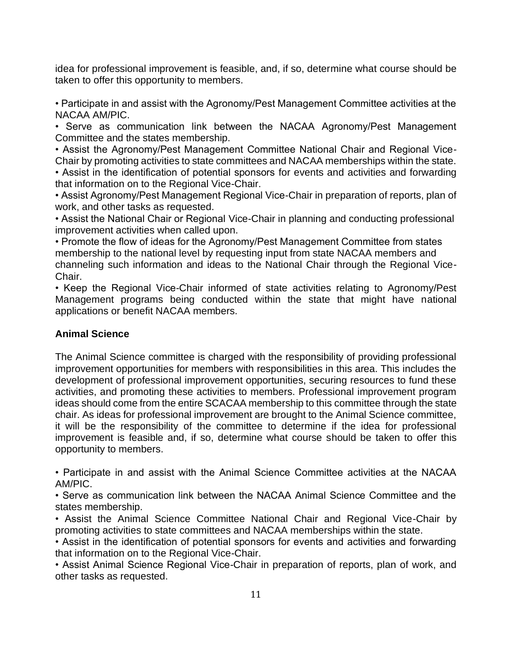idea for professional improvement is feasible, and, if so, determine what course should be taken to offer this opportunity to members.

• Participate in and assist with the Agronomy/Pest Management Committee activities at the NACAA AM/PIC.

• Serve as communication link between the NACAA Agronomy/Pest Management Committee and the states membership.

• Assist the Agronomy/Pest Management Committee National Chair and Regional Vice-Chair by promoting activities to state committees and NACAA memberships within the state.

• Assist in the identification of potential sponsors for events and activities and forwarding that information on to the Regional Vice-Chair.

• Assist Agronomy/Pest Management Regional Vice-Chair in preparation of reports, plan of work, and other tasks as requested.

• Assist the National Chair or Regional Vice-Chair in planning and conducting professional improvement activities when called upon.

• Promote the flow of ideas for the Agronomy/Pest Management Committee from states membership to the national level by requesting input from state NACAA members and channeling such information and ideas to the National Chair through the Regional Vice-Chair.

• Keep the Regional Vice-Chair informed of state activities relating to Agronomy/Pest Management programs being conducted within the state that might have national applications or benefit NACAA members.

# **Animal Science**

The Animal Science committee is charged with the responsibility of providing professional improvement opportunities for members with responsibilities in this area. This includes the development of professional improvement opportunities, securing resources to fund these activities, and promoting these activities to members. Professional improvement program ideas should come from the entire SCACAA membership to this committee through the state chair. As ideas for professional improvement are brought to the Animal Science committee, it will be the responsibility of the committee to determine if the idea for professional improvement is feasible and, if so, determine what course should be taken to offer this opportunity to members.

• Participate in and assist with the Animal Science Committee activities at the NACAA AM/PIC.

• Serve as communication link between the NACAA Animal Science Committee and the states membership.

• Assist the Animal Science Committee National Chair and Regional Vice-Chair by promoting activities to state committees and NACAA memberships within the state.

• Assist in the identification of potential sponsors for events and activities and forwarding that information on to the Regional Vice-Chair.

• Assist Animal Science Regional Vice-Chair in preparation of reports, plan of work, and other tasks as requested.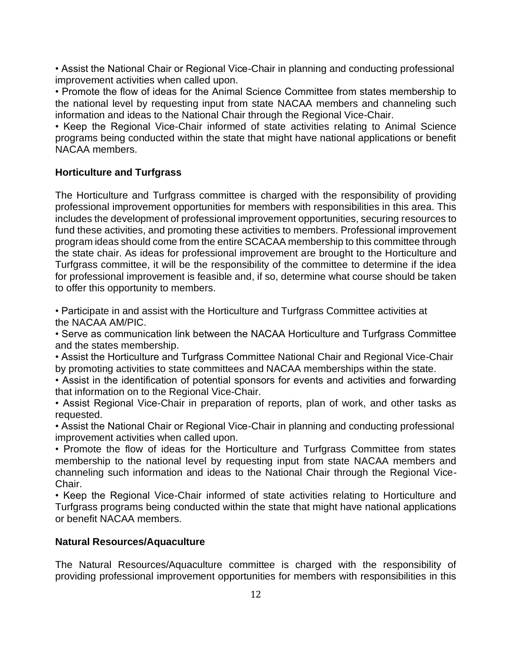• Assist the National Chair or Regional Vice-Chair in planning and conducting professional improvement activities when called upon.

• Promote the flow of ideas for the Animal Science Committee from states membership to the national level by requesting input from state NACAA members and channeling such information and ideas to the National Chair through the Regional Vice-Chair.

• Keep the Regional Vice-Chair informed of state activities relating to Animal Science programs being conducted within the state that might have national applications or benefit NACAA members.

### **Horticulture and Turfgrass**

The Horticulture and Turfgrass committee is charged with the responsibility of providing professional improvement opportunities for members with responsibilities in this area. This includes the development of professional improvement opportunities, securing resources to fund these activities, and promoting these activities to members. Professional improvement program ideas should come from the entire SCACAA membership to this committee through the state chair. As ideas for professional improvement are brought to the Horticulture and Turfgrass committee, it will be the responsibility of the committee to determine if the idea for professional improvement is feasible and, if so, determine what course should be taken to offer this opportunity to members.

• Participate in and assist with the Horticulture and Turfgrass Committee activities at the NACAA AM/PIC.

• Serve as communication link between the NACAA Horticulture and Turfgrass Committee and the states membership.

• Assist the Horticulture and Turfgrass Committee National Chair and Regional Vice-Chair by promoting activities to state committees and NACAA memberships within the state.

• Assist in the identification of potential sponsors for events and activities and forwarding that information on to the Regional Vice-Chair.

• Assist Regional Vice-Chair in preparation of reports, plan of work, and other tasks as requested.

• Assist the National Chair or Regional Vice-Chair in planning and conducting professional improvement activities when called upon.

• Promote the flow of ideas for the Horticulture and Turfgrass Committee from states membership to the national level by requesting input from state NACAA members and channeling such information and ideas to the National Chair through the Regional Vice-Chair.

• Keep the Regional Vice-Chair informed of state activities relating to Horticulture and Turfgrass programs being conducted within the state that might have national applications or benefit NACAA members.

#### **Natural Resources/Aquaculture**

The Natural Resources/Aquaculture committee is charged with the responsibility of providing professional improvement opportunities for members with responsibilities in this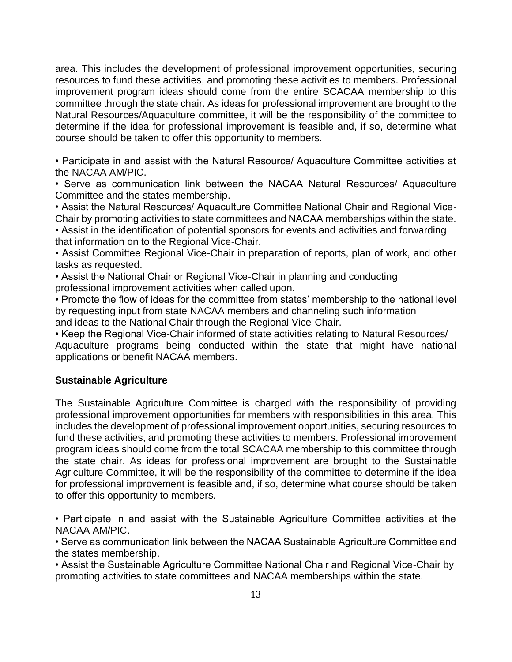area. This includes the development of professional improvement opportunities, securing resources to fund these activities, and promoting these activities to members. Professional improvement program ideas should come from the entire SCACAA membership to this committee through the state chair. As ideas for professional improvement are brought to the Natural Resources/Aquaculture committee, it will be the responsibility of the committee to determine if the idea for professional improvement is feasible and, if so, determine what course should be taken to offer this opportunity to members.

• Participate in and assist with the Natural Resource/ Aquaculture Committee activities at the NACAA AM/PIC.

• Serve as communication link between the NACAA Natural Resources/ Aquaculture Committee and the states membership.

• Assist the Natural Resources/ Aquaculture Committee National Chair and Regional Vice-Chair by promoting activities to state committees and NACAA memberships within the state.

• Assist in the identification of potential sponsors for events and activities and forwarding that information on to the Regional Vice-Chair.

• Assist Committee Regional Vice-Chair in preparation of reports, plan of work, and other tasks as requested.

• Assist the National Chair or Regional Vice-Chair in planning and conducting professional improvement activities when called upon.

• Promote the flow of ideas for the committee from states' membership to the national level by requesting input from state NACAA members and channeling such information and ideas to the National Chair through the Regional Vice-Chair.

• Keep the Regional Vice-Chair informed of state activities relating to Natural Resources/ Aquaculture programs being conducted within the state that might have national applications or benefit NACAA members.

# **Sustainable Agriculture**

The Sustainable Agriculture Committee is charged with the responsibility of providing professional improvement opportunities for members with responsibilities in this area. This includes the development of professional improvement opportunities, securing resources to fund these activities, and promoting these activities to members. Professional improvement program ideas should come from the total SCACAA membership to this committee through the state chair. As ideas for professional improvement are brought to the Sustainable Agriculture Committee, it will be the responsibility of the committee to determine if the idea for professional improvement is feasible and, if so, determine what course should be taken to offer this opportunity to members.

• Participate in and assist with the Sustainable Agriculture Committee activities at the NACAA AM/PIC.

• Serve as communication link between the NACAA Sustainable Agriculture Committee and the states membership.

• Assist the Sustainable Agriculture Committee National Chair and Regional Vice-Chair by promoting activities to state committees and NACAA memberships within the state.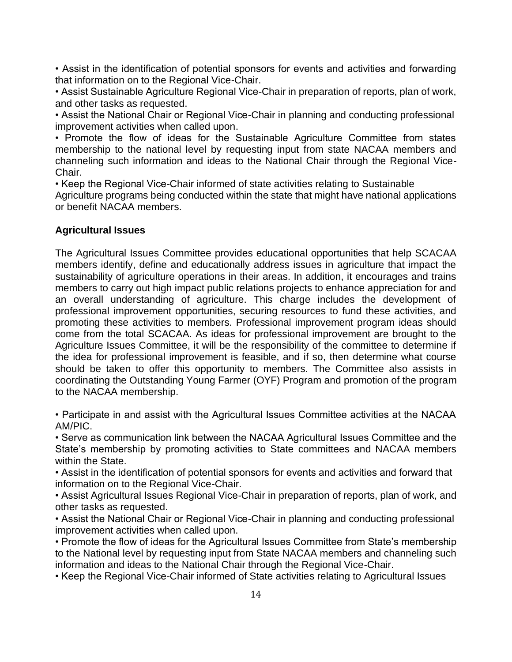• Assist in the identification of potential sponsors for events and activities and forwarding that information on to the Regional Vice-Chair.

• Assist Sustainable Agriculture Regional Vice-Chair in preparation of reports, plan of work, and other tasks as requested.

• Assist the National Chair or Regional Vice-Chair in planning and conducting professional improvement activities when called upon.

• Promote the flow of ideas for the Sustainable Agriculture Committee from states membership to the national level by requesting input from state NACAA members and channeling such information and ideas to the National Chair through the Regional Vice-Chair.

• Keep the Regional Vice-Chair informed of state activities relating to Sustainable

Agriculture programs being conducted within the state that might have national applications or benefit NACAA members.

# **Agricultural Issues**

The Agricultural Issues Committee provides educational opportunities that help SCACAA members identify, define and educationally address issues in agriculture that impact the sustainability of agriculture operations in their areas. In addition, it encourages and trains members to carry out high impact public relations projects to enhance appreciation for and an overall understanding of agriculture. This charge includes the development of professional improvement opportunities, securing resources to fund these activities, and promoting these activities to members. Professional improvement program ideas should come from the total SCACAA. As ideas for professional improvement are brought to the Agriculture Issues Committee, it will be the responsibility of the committee to determine if the idea for professional improvement is feasible, and if so, then determine what course should be taken to offer this opportunity to members. The Committee also assists in coordinating the Outstanding Young Farmer (OYF) Program and promotion of the program to the NACAA membership.

• Participate in and assist with the Agricultural Issues Committee activities at the NACAA AM/PIC.

• Serve as communication link between the NACAA Agricultural Issues Committee and the State's membership by promoting activities to State committees and NACAA members within the State.

• Assist in the identification of potential sponsors for events and activities and forward that information on to the Regional Vice-Chair.

• Assist Agricultural Issues Regional Vice-Chair in preparation of reports, plan of work, and other tasks as requested.

• Assist the National Chair or Regional Vice-Chair in planning and conducting professional improvement activities when called upon.

• Promote the flow of ideas for the Agricultural Issues Committee from State's membership to the National level by requesting input from State NACAA members and channeling such information and ideas to the National Chair through the Regional Vice-Chair.

• Keep the Regional Vice-Chair informed of State activities relating to Agricultural Issues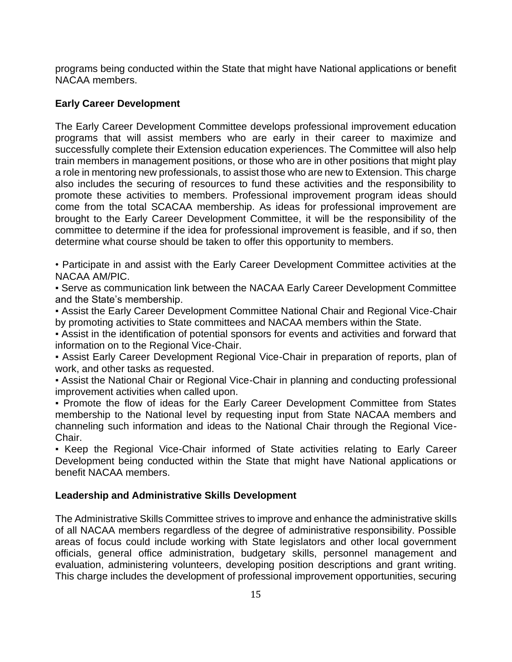programs being conducted within the State that might have National applications or benefit NACAA members.

# **Early Career Development**

The Early Career Development Committee develops professional improvement education programs that will assist members who are early in their career to maximize and successfully complete their Extension education experiences. The Committee will also help train members in management positions, or those who are in other positions that might play a role in mentoring new professionals, to assist those who are new to Extension. This charge also includes the securing of resources to fund these activities and the responsibility to promote these activities to members. Professional improvement program ideas should come from the total SCACAA membership. As ideas for professional improvement are brought to the Early Career Development Committee, it will be the responsibility of the committee to determine if the idea for professional improvement is feasible, and if so, then determine what course should be taken to offer this opportunity to members.

• Participate in and assist with the Early Career Development Committee activities at the NACAA AM/PIC.

▪ Serve as communication link between the NACAA Early Career Development Committee and the State's membership.

**• Assist the Early Career Development Committee National Chair and Regional Vice-Chair** by promoting activities to State committees and NACAA members within the State.

**.** Assist in the identification of potential sponsors for events and activities and forward that information on to the Regional Vice-Chair.

**• Assist Early Career Development Regional Vice-Chair in preparation of reports, plan of** work, and other tasks as requested.

**• Assist the National Chair or Regional Vice-Chair in planning and conducting professional** improvement activities when called upon.

▪ Promote the flow of ideas for the Early Career Development Committee from States membership to the National level by requesting input from State NACAA members and channeling such information and ideas to the National Chair through the Regional Vice-Chair.

**• Keep the Regional Vice-Chair informed of State activities relating to Early Career** Development being conducted within the State that might have National applications or benefit NACAA members.

#### **Leadership and Administrative Skills Development**

The Administrative Skills Committee strives to improve and enhance the administrative skills of all NACAA members regardless of the degree of administrative responsibility. Possible areas of focus could include working with State legislators and other local government officials, general office administration, budgetary skills, personnel management and evaluation, administering volunteers, developing position descriptions and grant writing. This charge includes the development of professional improvement opportunities, securing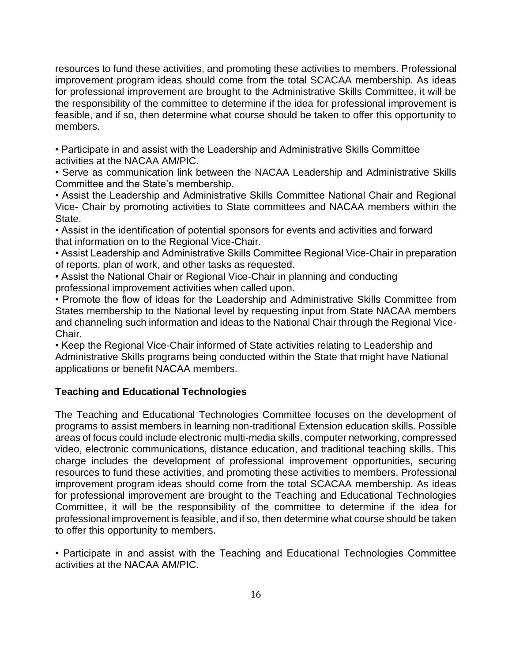resources to fund these activities, and promoting these activities to members. Professional improvement program ideas should come from the total SCACAA membership. As ideas for professional improvement are brought to the Administrative Skills Committee, it will be the responsibility of the committee to determine if the idea for professional improvement is feasible, and if so, then determine what course should be taken to offer this opportunity to members.

• Participate in and assist with the Leadership and Administrative Skills Committee activities at the NACAA AM/PIC.

• Serve as communication link between the NACAA Leadership and Administrative Skills Committee and the State's membership.

• Assist the Leadership and Administrative Skills Committee National Chair and Regional Vice- Chair by promoting activities to State committees and NACAA members within the State.

• Assist in the identification of potential sponsors for events and activities and forward that information on to the Regional Vice-Chair.

• Assist Leadership and Administrative Skills Committee Regional Vice-Chair in preparation of reports, plan of work, and other tasks as requested.

• Assist the National Chair or Regional Vice-Chair in planning and conducting professional improvement activities when called upon.

• Promote the flow of ideas for the Leadership and Administrative Skills Committee from States membership to the National level by requesting input from State NACAA members and channeling such information and ideas to the National Chair through the Regional Vice-Chair.

• Keep the Regional Vice-Chair informed of State activities relating to Leadership and Administrative Skills programs being conducted within the State that might have National applications or benefit NACAA members.

# **Teaching and Educational Technologies**

The Teaching and Educational Technologies Committee focuses on the development of programs to assist members in learning non-traditional Extension education skills. Possible areas of focus could include electronic multi-media skills, computer networking, compressed video, electronic communications, distance education, and traditional teaching skills. This charge includes the development of professional improvement opportunities, securing resources to fund these activities, and promoting these activities to members. Professional improvement program ideas should come from the total SCACAA membership. As ideas for professional improvement are brought to the Teaching and Educational Technologies Committee, it will be the responsibility of the committee to determine if the idea for professional improvement is feasible, and if so, then determine what course should be taken to offer this opportunity to members.

• Participate in and assist with the Teaching and Educational Technologies Committee activities at the NACAA AM/PIC.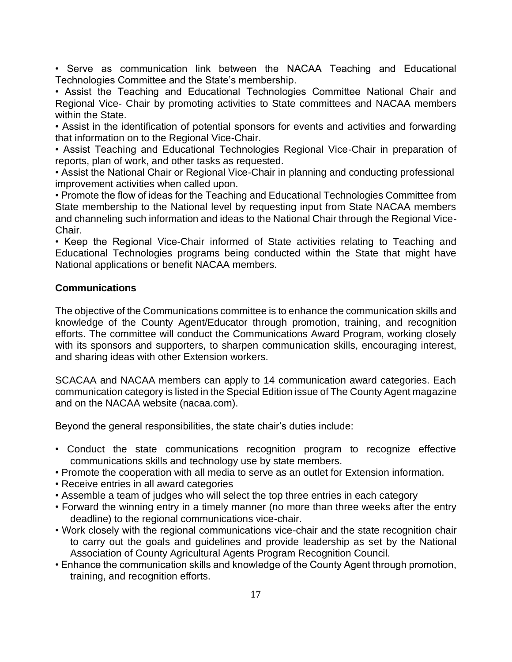• Serve as communication link between the NACAA Teaching and Educational Technologies Committee and the State's membership.

• Assist the Teaching and Educational Technologies Committee National Chair and Regional Vice- Chair by promoting activities to State committees and NACAA members within the State.

• Assist in the identification of potential sponsors for events and activities and forwarding that information on to the Regional Vice-Chair.

• Assist Teaching and Educational Technologies Regional Vice-Chair in preparation of reports, plan of work, and other tasks as requested.

• Assist the National Chair or Regional Vice-Chair in planning and conducting professional improvement activities when called upon.

• Promote the flow of ideas for the Teaching and Educational Technologies Committee from State membership to the National level by requesting input from State NACAA members and channeling such information and ideas to the National Chair through the Regional Vice-Chair.

• Keep the Regional Vice-Chair informed of State activities relating to Teaching and Educational Technologies programs being conducted within the State that might have National applications or benefit NACAA members.

# **Communications**

The objective of the Communications committee is to enhance the communication skills and knowledge of the County Agent/Educator through promotion, training, and recognition efforts. The committee will conduct the Communications Award Program, working closely with its sponsors and supporters, to sharpen communication skills, encouraging interest, and sharing ideas with other Extension workers.

SCACAA and NACAA members can apply to 14 communication award categories. Each communication category is listed in the Special Edition issue of The County Agent magazine and on the NACAA website (nacaa.com).

Beyond the general responsibilities, the state chair's duties include:

- Conduct the state communications recognition program to recognize effective communications skills and technology use by state members.
- Promote the cooperation with all media to serve as an outlet for Extension information.
- Receive entries in all award categories
- Assemble a team of judges who will select the top three entries in each category
- Forward the winning entry in a timely manner (no more than three weeks after the entry deadline) to the regional communications vice-chair.
- Work closely with the regional communications vice-chair and the state recognition chair to carry out the goals and guidelines and provide leadership as set by the National Association of County Agricultural Agents Program Recognition Council.
- Enhance the communication skills and knowledge of the County Agent through promotion, training, and recognition efforts.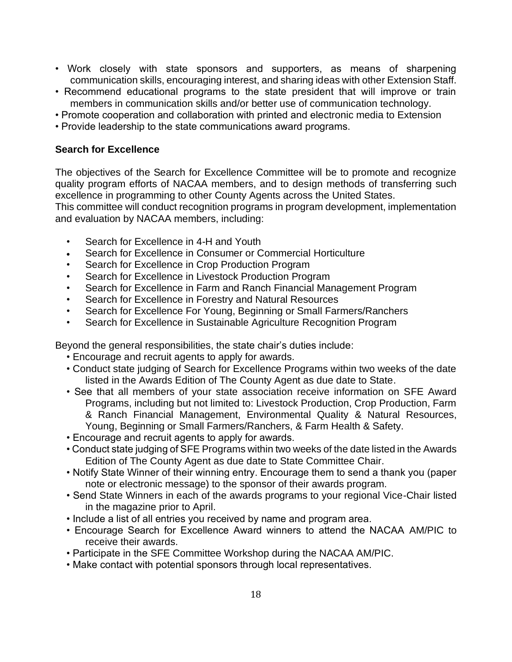- Work closely with state sponsors and supporters, as means of sharpening communication skills, encouraging interest, and sharing ideas with other Extension Staff.
- Recommend educational programs to the state president that will improve or train members in communication skills and/or better use of communication technology.
- Promote cooperation and collaboration with printed and electronic media to Extension
- Provide leadership to the state communications award programs.

### **Search for Excellence**

The objectives of the Search for Excellence Committee will be to promote and recognize quality program efforts of NACAA members, and to design methods of transferring such excellence in programming to other County Agents across the United States.

This committee will conduct recognition programs in program development, implementation and evaluation by NACAA members, including:

- Search for Excellence in 4-H and Youth
- Search for Excellence in Consumer or Commercial Horticulture
- Search for Excellence in Crop Production Program
- Search for Excellence in Livestock Production Program
- Search for Excellence in Farm and Ranch Financial Management Program
- Search for Excellence in Forestry and Natural Resources
- Search for Excellence For Young, Beginning or Small Farmers/Ranchers
- Search for Excellence in Sustainable Agriculture Recognition Program

Beyond the general responsibilities, the state chair's duties include:

- Encourage and recruit agents to apply for awards.
- Conduct state judging of Search for Excellence Programs within two weeks of the date listed in the Awards Edition of The County Agent as due date to State.
- See that all members of your state association receive information on SFE Award Programs, including but not limited to: Livestock Production, Crop Production, Farm & Ranch Financial Management, Environmental Quality & Natural Resources, Young, Beginning or Small Farmers/Ranchers, & Farm Health & Safety.
- Encourage and recruit agents to apply for awards.
- Conduct state judging of SFE Programs within two weeks of the date listed in the Awards Edition of The County Agent as due date to State Committee Chair.
- Notify State Winner of their winning entry. Encourage them to send a thank you (paper note or electronic message) to the sponsor of their awards program.
- Send State Winners in each of the awards programs to your regional Vice-Chair listed in the magazine prior to April.
- Include a list of all entries you received by name and program area.
- Encourage Search for Excellence Award winners to attend the NACAA AM/PIC to receive their awards.
- Participate in the SFE Committee Workshop during the NACAA AM/PIC.
- Make contact with potential sponsors through local representatives.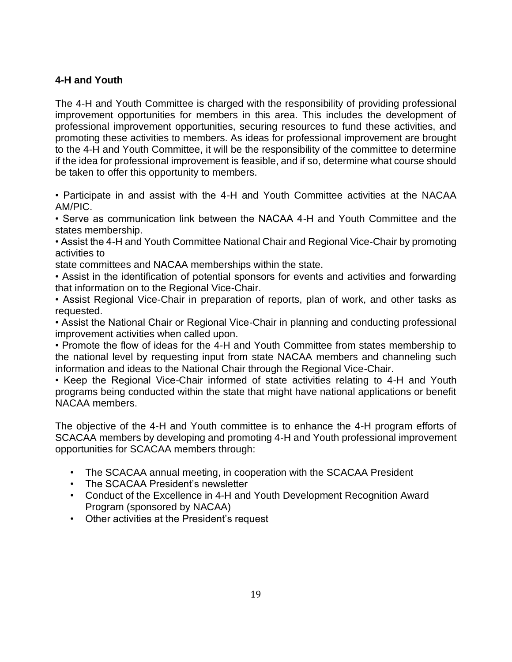# **4-H and Youth**

The 4-H and Youth Committee is charged with the responsibility of providing professional improvement opportunities for members in this area. This includes the development of professional improvement opportunities, securing resources to fund these activities, and promoting these activities to members. As ideas for professional improvement are brought to the 4-H and Youth Committee, it will be the responsibility of the committee to determine if the idea for professional improvement is feasible, and if so, determine what course should be taken to offer this opportunity to members.

• Participate in and assist with the 4-H and Youth Committee activities at the NACAA AM/PIC.

• Serve as communication link between the NACAA 4-H and Youth Committee and the states membership.

• Assist the 4-H and Youth Committee National Chair and Regional Vice-Chair by promoting activities to

state committees and NACAA memberships within the state.

• Assist in the identification of potential sponsors for events and activities and forwarding that information on to the Regional Vice-Chair.

• Assist Regional Vice-Chair in preparation of reports, plan of work, and other tasks as requested.

• Assist the National Chair or Regional Vice-Chair in planning and conducting professional improvement activities when called upon.

• Promote the flow of ideas for the 4-H and Youth Committee from states membership to the national level by requesting input from state NACAA members and channeling such information and ideas to the National Chair through the Regional Vice-Chair.

• Keep the Regional Vice-Chair informed of state activities relating to 4-H and Youth programs being conducted within the state that might have national applications or benefit NACAA members.

The objective of the 4-H and Youth committee is to enhance the 4-H program efforts of SCACAA members by developing and promoting 4-H and Youth professional improvement opportunities for SCACAA members through:

- The SCACAA annual meeting, in cooperation with the SCACAA President
- The SCACAA President's newsletter
- Conduct of the Excellence in 4-H and Youth Development Recognition Award Program (sponsored by NACAA)
- Other activities at the President's request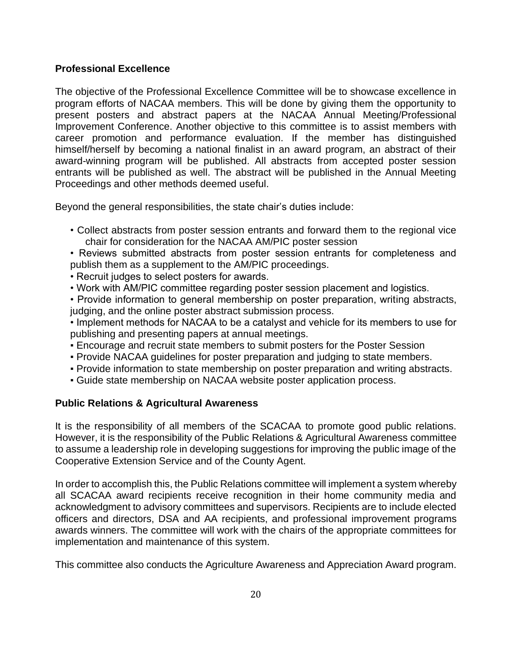# **Professional Excellence**

The objective of the Professional Excellence Committee will be to showcase excellence in program efforts of NACAA members. This will be done by giving them the opportunity to present posters and abstract papers at the NACAA Annual Meeting/Professional Improvement Conference. Another objective to this committee is to assist members with career promotion and performance evaluation. If the member has distinguished himself/herself by becoming a national finalist in an award program, an abstract of their award-winning program will be published. All abstracts from accepted poster session entrants will be published as well. The abstract will be published in the Annual Meeting Proceedings and other methods deemed useful.

Beyond the general responsibilities, the state chair's duties include:

• Collect abstracts from poster session entrants and forward them to the regional vice chair for consideration for the NACAA AM/PIC poster session

• Reviews submitted abstracts from poster session entrants for completeness and publish them as a supplement to the AM/PIC proceedings.

- Recruit judges to select posters for awards.
- Work with AM/PIC committee regarding poster session placement and logistics.

• Provide information to general membership on poster preparation, writing abstracts, judging, and the online poster abstract submission process.

• Implement methods for NACAA to be a catalyst and vehicle for its members to use for publishing and presenting papers at annual meetings.

- Encourage and recruit state members to submit posters for the Poster Session
- Provide NACAA guidelines for poster preparation and judging to state members.
- Provide information to state membership on poster preparation and writing abstracts.
- Guide state membership on NACAA website poster application process.

# **Public Relations & Agricultural Awareness**

It is the responsibility of all members of the SCACAA to promote good public relations. However, it is the responsibility of the Public Relations & Agricultural Awareness committee to assume a leadership role in developing suggestions for improving the public image of the Cooperative Extension Service and of the County Agent.

In order to accomplish this, the Public Relations committee will implement a system whereby all SCACAA award recipients receive recognition in their home community media and acknowledgment to advisory committees and supervisors. Recipients are to include elected officers and directors, DSA and AA recipients, and professional improvement programs awards winners. The committee will work with the chairs of the appropriate committees for implementation and maintenance of this system.

This committee also conducts the Agriculture Awareness and Appreciation Award program.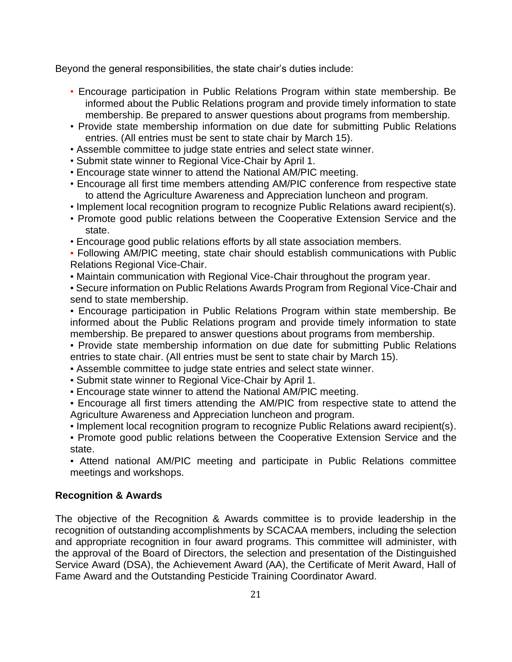Beyond the general responsibilities, the state chair's duties include:

- Encourage participation in Public Relations Program within state membership. Be informed about the Public Relations program and provide timely information to state membership. Be prepared to answer questions about programs from membership.
- Provide state membership information on due date for submitting Public Relations entries. (All entries must be sent to state chair by March 15).
- Assemble committee to judge state entries and select state winner.
- Submit state winner to Regional Vice-Chair by April 1.
- Encourage state winner to attend the National AM/PIC meeting.
- Encourage all first time members attending AM/PIC conference from respective state to attend the Agriculture Awareness and Appreciation luncheon and program.
- Implement local recognition program to recognize Public Relations award recipient(s).
- Promote good public relations between the Cooperative Extension Service and the state.
- Encourage good public relations efforts by all state association members.
- Following AM/PIC meeting, state chair should establish communications with Public Relations Regional Vice-Chair.
- Maintain communication with Regional Vice-Chair throughout the program year.
- Secure information on Public Relations Awards Program from Regional Vice-Chair and send to state membership.

▪ Encourage participation in Public Relations Program within state membership. Be informed about the Public Relations program and provide timely information to state membership. Be prepared to answer questions about programs from membership.

▪ Provide state membership information on due date for submitting Public Relations entries to state chair. (All entries must be sent to state chair by March 15).

- Assemble committee to judge state entries and select state winner.
- Submit state winner to Regional Vice-Chair by April 1.
- Encourage state winner to attend the National AM/PIC meeting.
- Encourage all first timers attending the AM/PIC from respective state to attend the Agriculture Awareness and Appreciation luncheon and program.
- Implement local recognition program to recognize Public Relations award recipient(s).
- Promote good public relations between the Cooperative Extension Service and the state.
- Attend national AM/PIC meeting and participate in Public Relations committee meetings and workshops.

# **Recognition & Awards**

The objective of the Recognition & Awards committee is to provide leadership in the recognition of outstanding accomplishments by SCACAA members, including the selection and appropriate recognition in four award programs. This committee will administer, with the approval of the Board of Directors, the selection and presentation of the Distinguished Service Award (DSA), the Achievement Award (AA), the Certificate of Merit Award, Hall of Fame Award and the Outstanding Pesticide Training Coordinator Award.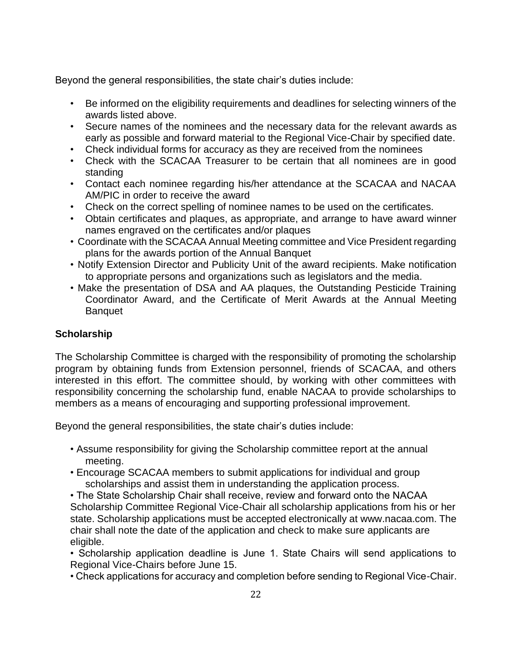Beyond the general responsibilities, the state chair's duties include:

- Be informed on the eligibility requirements and deadlines for selecting winners of the awards listed above.
- Secure names of the nominees and the necessary data for the relevant awards as early as possible and forward material to the Regional Vice-Chair by specified date.
- Check individual forms for accuracy as they are received from the nominees
- Check with the SCACAA Treasurer to be certain that all nominees are in good standing
- Contact each nominee regarding his/her attendance at the SCACAA and NACAA AM/PIC in order to receive the award
- Check on the correct spelling of nominee names to be used on the certificates.
- Obtain certificates and plaques, as appropriate, and arrange to have award winner names engraved on the certificates and/or plaques
- Coordinate with the SCACAA Annual Meeting committee and Vice President regarding plans for the awards portion of the Annual Banquet
- Notify Extension Director and Publicity Unit of the award recipients. Make notification to appropriate persons and organizations such as legislators and the media.
- Make the presentation of DSA and AA plaques, the Outstanding Pesticide Training Coordinator Award, and the Certificate of Merit Awards at the Annual Meeting **Banquet**

# **Scholarship**

The Scholarship Committee is charged with the responsibility of promoting the scholarship program by obtaining funds from Extension personnel, friends of SCACAA, and others interested in this effort. The committee should, by working with other committees with responsibility concerning the scholarship fund, enable NACAA to provide scholarships to members as a means of encouraging and supporting professional improvement.

Beyond the general responsibilities, the state chair's duties include:

- Assume responsibility for giving the Scholarship committee report at the annual meeting.
- Encourage SCACAA members to submit applications for individual and group scholarships and assist them in understanding the application process.
- The State Scholarship Chair shall receive, review and forward onto the NACAA Scholarship Committee Regional Vice-Chair all scholarship applications from his or her state. Scholarship applications must be accepted electronically at www.nacaa.com. The chair shall note the date of the application and check to make sure applicants are eligible.
- Scholarship application deadline is June 1. State Chairs will send applications to Regional Vice-Chairs before June 15.
- Check applications for accuracy and completion before sending to Regional Vice-Chair.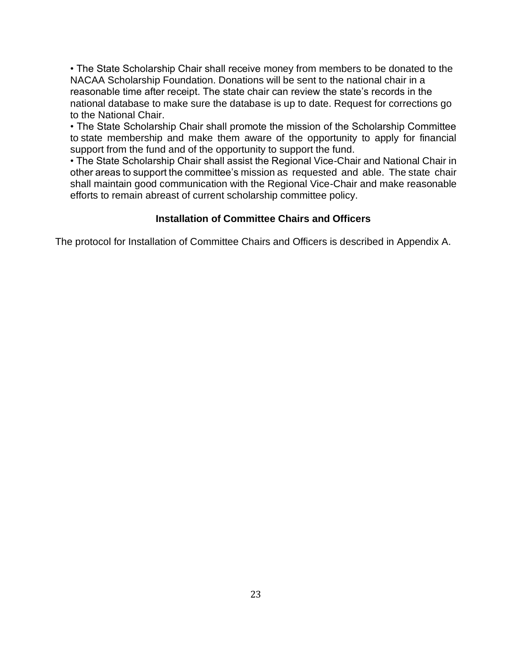• The State Scholarship Chair shall receive money from members to be donated to the NACAA Scholarship Foundation. Donations will be sent to the national chair in a reasonable time after receipt. The state chair can review the state's records in the national database to make sure the database is up to date. Request for corrections go to the National Chair.

• The State Scholarship Chair shall promote the mission of the Scholarship Committee to state membership and make them aware of the opportunity to apply for financial support from the fund and of the opportunity to support the fund.

• The State Scholarship Chair shall assist the Regional Vice-Chair and National Chair in other areas to support the committee's mission as requested and able. The state chair shall maintain good communication with the Regional Vice-Chair and make reasonable efforts to remain abreast of current scholarship committee policy.

#### **Installation of Committee Chairs and Officers**

The protocol for Installation of Committee Chairs and Officers is described in Appendix A.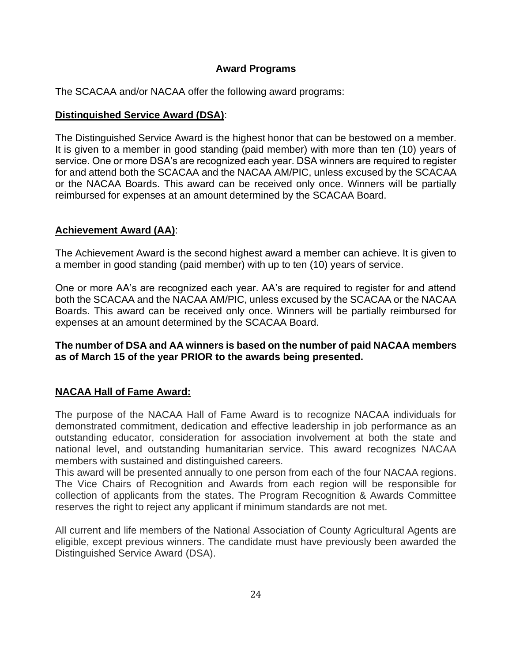# **Award Programs**

The SCACAA and/or NACAA offer the following award programs:

# **Distinguished Service Award (DSA)**:

The Distinguished Service Award is the highest honor that can be bestowed on a member. It is given to a member in good standing (paid member) with more than ten (10) years of service. One or more DSA's are recognized each year. DSA winners are required to register for and attend both the SCACAA and the NACAA AM/PIC, unless excused by the SCACAA or the NACAA Boards. This award can be received only once. Winners will be partially reimbursed for expenses at an amount determined by the SCACAA Board.

# **Achievement Award (AA)**:

The Achievement Award is the second highest award a member can achieve. It is given to a member in good standing (paid member) with up to ten (10) years of service.

One or more AA's are recognized each year. AA's are required to register for and attend both the SCACAA and the NACAA AM/PIC, unless excused by the SCACAA or the NACAA Boards. This award can be received only once. Winners will be partially reimbursed for expenses at an amount determined by the SCACAA Board.

# **The number of DSA and AA winners is based on the number of paid NACAA members as of March 15 of the year PRIOR to the awards being presented.**

# **NACAA Hall of Fame Award:**

The purpose of the NACAA Hall of Fame Award is to recognize NACAA individuals for demonstrated commitment, dedication and effective leadership in job performance as an outstanding educator, consideration for association involvement at both the state and national level, and outstanding humanitarian service. This award recognizes NACAA members with sustained and distinguished careers.

This award will be presented annually to one person from each of the four NACAA regions. The Vice Chairs of Recognition and Awards from each region will be responsible for collection of applicants from the states. The Program Recognition & Awards Committee reserves the right to reject any applicant if minimum standards are not met.

All current and life members of the National Association of County Agricultural Agents are eligible, except previous winners. The candidate must have previously been awarded the Distinguished Service Award (DSA).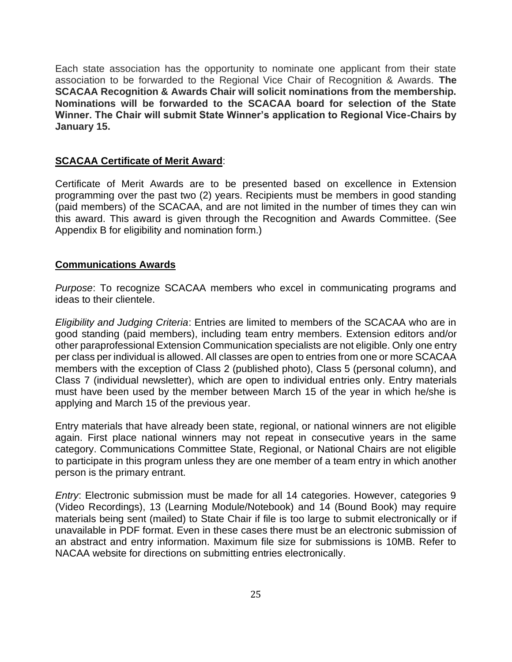Each state association has the opportunity to nominate one applicant from their state association to be forwarded to the Regional Vice Chair of Recognition & Awards. **The SCACAA Recognition & Awards Chair will solicit nominations from the membership. Nominations will be forwarded to the SCACAA board for selection of the State Winner. The Chair will submit State Winner's application to Regional Vice-Chairs by January 15.**

#### **SCACAA Certificate of Merit Award**:

Certificate of Merit Awards are to be presented based on excellence in Extension programming over the past two (2) years. Recipients must be members in good standing (paid members) of the SCACAA, and are not limited in the number of times they can win this award. This award is given through the Recognition and Awards Committee. (See Appendix B for eligibility and nomination form.)

#### **Communications Awards**

*Purpose*: To recognize SCACAA members who excel in communicating programs and ideas to their clientele.

*Eligibility and Judging Criteria*: Entries are limited to members of the SCACAA who are in good standing (paid members), including team entry members. Extension editors and/or other paraprofessional Extension Communication specialists are not eligible. Only one entry per class per individual is allowed. All classes are open to entries from one or more SCACAA members with the exception of Class 2 (published photo), Class 5 (personal column), and Class 7 (individual newsletter), which are open to individual entries only. Entry materials must have been used by the member between March 15 of the year in which he/she is applying and March 15 of the previous year.

Entry materials that have already been state, regional, or national winners are not eligible again. First place national winners may not repeat in consecutive years in the same category. Communications Committee State, Regional, or National Chairs are not eligible to participate in this program unless they are one member of a team entry in which another person is the primary entrant.

*Entry*: Electronic submission must be made for all 14 categories. However, categories 9 (Video Recordings), 13 (Learning Module/Notebook) and 14 (Bound Book) may require materials being sent (mailed) to State Chair if file is too large to submit electronically or if unavailable in PDF format. Even in these cases there must be an electronic submission of an abstract and entry information. Maximum file size for submissions is 10MB. Refer to NACAA website for directions on submitting entries electronically.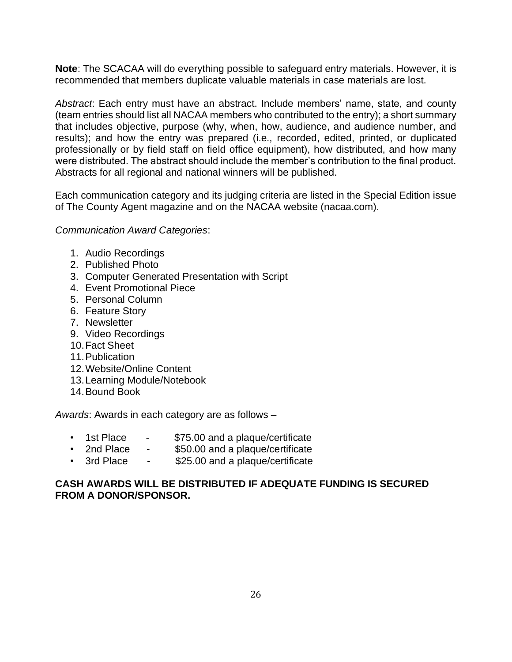**Note**: The SCACAA will do everything possible to safeguard entry materials. However, it is recommended that members duplicate valuable materials in case materials are lost.

*Abstract*: Each entry must have an abstract. Include members' name, state, and county (team entries should list all NACAA members who contributed to the entry); a short summary that includes objective, purpose (why, when, how, audience, and audience number, and results); and how the entry was prepared (i.e., recorded, edited, printed, or duplicated professionally or by field staff on field office equipment), how distributed, and how many were distributed. The abstract should include the member's contribution to the final product. Abstracts for all regional and national winners will be published.

Each communication category and its judging criteria are listed in the Special Edition issue of The County Agent magazine and on the NACAA website (nacaa.com).

*Communication Award Categories*:

- 1. Audio Recordings
- 2. Published Photo
- 3. Computer Generated Presentation with Script
- 4. Event Promotional Piece
- 5. Personal Column
- 6. Feature Story
- 7. Newsletter
- 9. Video Recordings
- 10.Fact Sheet
- 11.Publication
- 12.Website/Online Content
- 13.Learning Module/Notebook
- 14.Bound Book

*Awards*: Awards in each category are as follows –

- 1st Place \$75.00 and a plaque/certificate
- 2nd Place \$50.00 and a plaque/certificate
- 3rd Place \$25.00 and a plaque/certificate

### **CASH AWARDS WILL BE DISTRIBUTED IF ADEQUATE FUNDING IS SECURED FROM A DONOR/SPONSOR.**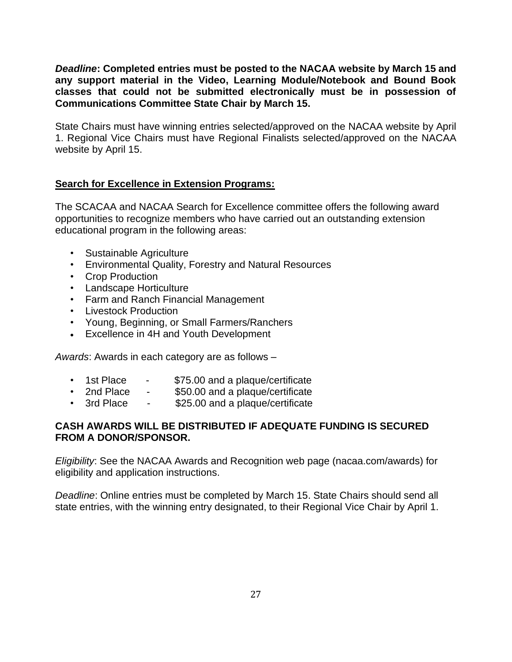*Deadline***: Completed entries must be posted to the NACAA website by March 15 and any support material in the Video, Learning Module/Notebook and Bound Book classes that could not be submitted electronically must be in possession of Communications Committee State Chair by March 15.**

State Chairs must have winning entries selected/approved on the NACAA website by April 1. Regional Vice Chairs must have Regional Finalists selected/approved on the NACAA website by April 15.

### **Search for Excellence in Extension Programs:**

The SCACAA and NACAA Search for Excellence committee offers the following award opportunities to recognize members who have carried out an outstanding extension educational program in the following areas:

- Sustainable Agriculture
- Environmental Quality, Forestry and Natural Resources
- Crop Production
- Landscape Horticulture
- Farm and Ranch Financial Management
- Livestock Production
- Young, Beginning, or Small Farmers/Ranchers
- Excellence in 4H and Youth Development

*Awards*: Awards in each category are as follows –

- 1st Place \$75.00 and a plaque/certificate
- 2nd Place \$50.00 and a plaque/certificate
- 3rd Place \$25.00 and a plaque/certificate

### **CASH AWARDS WILL BE DISTRIBUTED IF ADEQUATE FUNDING IS SECURED FROM A DONOR/SPONSOR.**

*Eligibility*: See the NACAA Awards and Recognition web page (nacaa.com/awards) for eligibility and application instructions.

*Deadline*: Online entries must be completed by March 15. State Chairs should send all state entries, with the winning entry designated, to their Regional Vice Chair by April 1.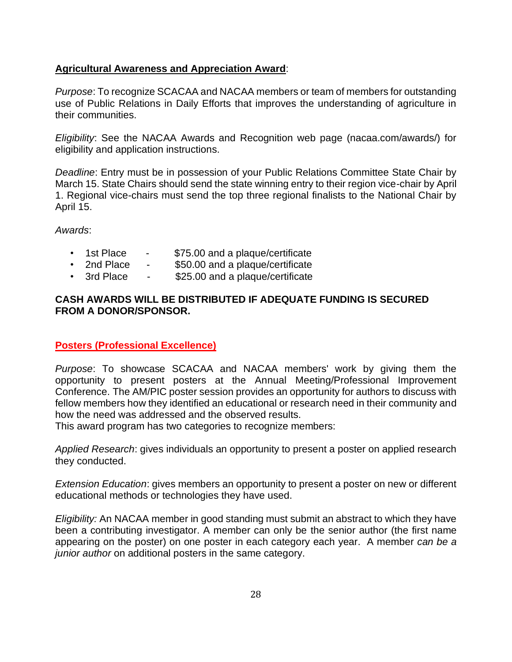# **Agricultural Awareness and Appreciation Award**:

*Purpose*: To recognize SCACAA and NACAA members or team of members for outstanding use of Public Relations in Daily Efforts that improves the understanding of agriculture in their communities.

*Eligibility*: See the NACAA Awards and Recognition web page (nacaa.com/awards/) for eligibility and application instructions.

*Deadline*: Entry must be in possession of your Public Relations Committee State Chair by March 15. State Chairs should send the state winning entry to their region vice-chair by April 1. Regional vice-chairs must send the top three regional finalists to the National Chair by April 15.

*Awards*:

- 1st Place \$75.00 and a plaque/certificate
- 2nd Place \$50.00 and a plaque/certificate
- 3rd Place \$25.00 and a plaque/certificate

# **CASH AWARDS WILL BE DISTRIBUTED IF ADEQUATE FUNDING IS SECURED FROM A DONOR/SPONSOR.**

# **Posters (Professional Excellence)**

*Purpose*: To showcase SCACAA and NACAA members' work by giving them the opportunity to present posters at the Annual Meeting/Professional Improvement Conference. The AM/PIC poster session provides an opportunity for authors to discuss with fellow members how they identified an educational or research need in their community and how the need was addressed and the observed results.

This award program has two categories to recognize members:

*Applied Research*: gives individuals an opportunity to present a poster on applied research they conducted.

*Extension Education*: gives members an opportunity to present a poster on new or different educational methods or technologies they have used.

*Eligibility:* An NACAA member in good standing must submit an abstract to which they have been a contributing investigator. A member can only be the senior author (the first name appearing on the poster) on one poster in each category each year. A member *can be a junior author* on additional posters in the same category.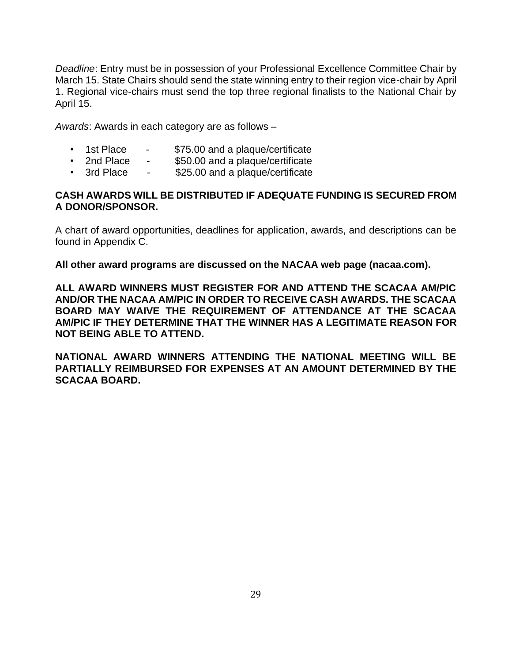*Deadline*: Entry must be in possession of your Professional Excellence Committee Chair by March 15. State Chairs should send the state winning entry to their region vice-chair by April 1. Regional vice-chairs must send the top three regional finalists to the National Chair by April 15.

*Awards*: Awards in each category are as follows –

- 1st Place \$75.00 and a plaque/certificate
- 2nd Place \$50.00 and a plaque/certificate
- 3rd Place \$25.00 and a plaque/certificate

### **CASH AWARDS WILL BE DISTRIBUTED IF ADEQUATE FUNDING IS SECURED FROM A DONOR/SPONSOR.**

A chart of award opportunities, deadlines for application, awards, and descriptions can be found in Appendix C.

**All other award programs are discussed on the NACAA web page (nacaa.com).**

**ALL AWARD WINNERS MUST REGISTER FOR AND ATTEND THE SCACAA AM/PIC AND/OR THE NACAA AM/PIC IN ORDER TO RECEIVE CASH AWARDS. THE SCACAA BOARD MAY WAIVE THE REQUIREMENT OF ATTENDANCE AT THE SCACAA AM/PIC IF THEY DETERMINE THAT THE WINNER HAS A LEGITIMATE REASON FOR NOT BEING ABLE TO ATTEND.** 

**NATIONAL AWARD WINNERS ATTENDING THE NATIONAL MEETING WILL BE PARTIALLY REIMBURSED FOR EXPENSES AT AN AMOUNT DETERMINED BY THE SCACAA BOARD.**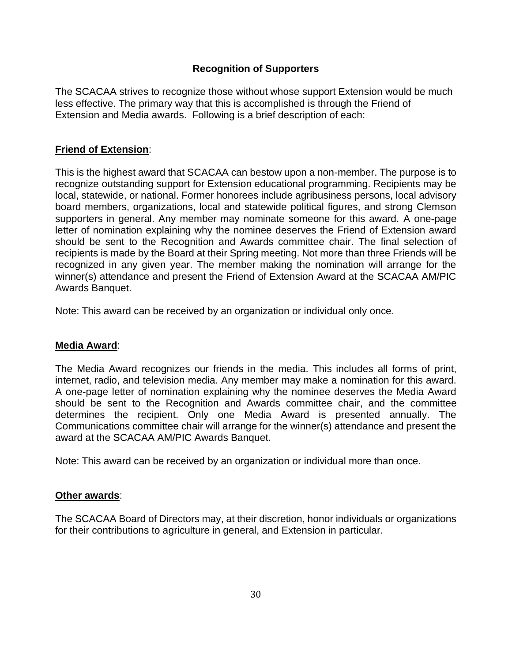# **Recognition of Supporters**

The SCACAA strives to recognize those without whose support Extension would be much less effective. The primary way that this is accomplished is through the Friend of Extension and Media awards. Following is a brief description of each:

### **Friend of Extension**:

This is the highest award that SCACAA can bestow upon a non-member. The purpose is to recognize outstanding support for Extension educational programming. Recipients may be local, statewide, or national. Former honorees include agribusiness persons, local advisory board members, organizations, local and statewide political figures, and strong Clemson supporters in general. Any member may nominate someone for this award. A one-page letter of nomination explaining why the nominee deserves the Friend of Extension award should be sent to the Recognition and Awards committee chair. The final selection of recipients is made by the Board at their Spring meeting. Not more than three Friends will be recognized in any given year. The member making the nomination will arrange for the winner(s) attendance and present the Friend of Extension Award at the SCACAA AM/PIC Awards Banquet.

Note: This award can be received by an organization or individual only once.

#### **Media Award**:

The Media Award recognizes our friends in the media. This includes all forms of print, internet, radio, and television media. Any member may make a nomination for this award. A one-page letter of nomination explaining why the nominee deserves the Media Award should be sent to the Recognition and Awards committee chair, and the committee determines the recipient. Only one Media Award is presented annually. The Communications committee chair will arrange for the winner(s) attendance and present the award at the SCACAA AM/PIC Awards Banquet.

Note: This award can be received by an organization or individual more than once.

#### **Other awards**:

The SCACAA Board of Directors may, at their discretion, honor individuals or organizations for their contributions to agriculture in general, and Extension in particular.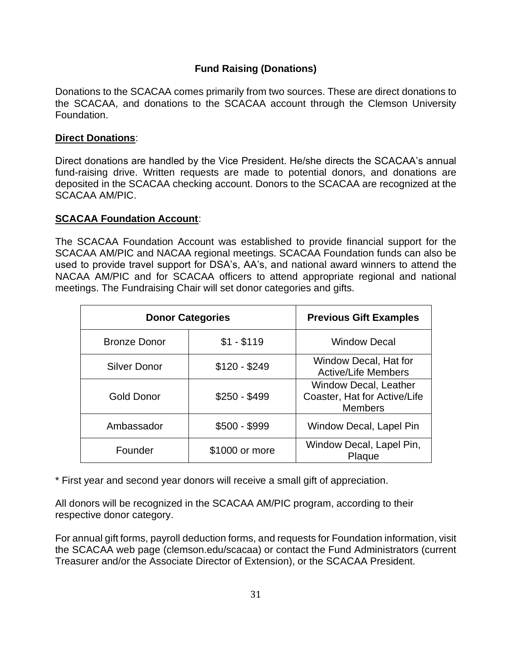# **Fund Raising (Donations)**

Donations to the SCACAA comes primarily from two sources. These are direct donations to the SCACAA, and donations to the SCACAA account through the Clemson University Foundation.

### **Direct Donations**:

Direct donations are handled by the Vice President. He/she directs the SCACAA's annual fund-raising drive. Written requests are made to potential donors, and donations are deposited in the SCACAA checking account. Donors to the SCACAA are recognized at the SCACAA AM/PIC.

#### **SCACAA Foundation Account**:

The SCACAA Foundation Account was established to provide financial support for the SCACAA AM/PIC and NACAA regional meetings. SCACAA Foundation funds can also be used to provide travel support for DSA's, AA's, and national award winners to attend the NACAA AM/PIC and for SCACAA officers to attend appropriate regional and national meetings. The Fundraising Chair will set donor categories and gifts.

| <b>Donor Categories</b> | <b>Previous Gift Examples</b> |                                                                                |
|-------------------------|-------------------------------|--------------------------------------------------------------------------------|
| <b>Bronze Donor</b>     | $$1 - $119$                   | <b>Window Decal</b>                                                            |
| <b>Silver Donor</b>     | $$120 - $249$                 | Window Decal, Hat for<br><b>Active/Life Members</b>                            |
| <b>Gold Donor</b>       | $$250 - $499$                 | <b>Window Decal, Leather</b><br>Coaster, Hat for Active/Life<br><b>Members</b> |
| Ambassador              | $$500 - $999$                 | Window Decal, Lapel Pin                                                        |
| Founder                 | \$1000 or more                | Window Decal, Lapel Pin,<br>Plaque                                             |

\* First year and second year donors will receive a small gift of appreciation.

All donors will be recognized in the SCACAA AM/PIC program, according to their respective donor category.

For annual gift forms, payroll deduction forms, and requests for Foundation information, visit the SCACAA web page (clemson.edu/scacaa) or contact the Fund Administrators (current Treasurer and/or the Associate Director of Extension), or the SCACAA President.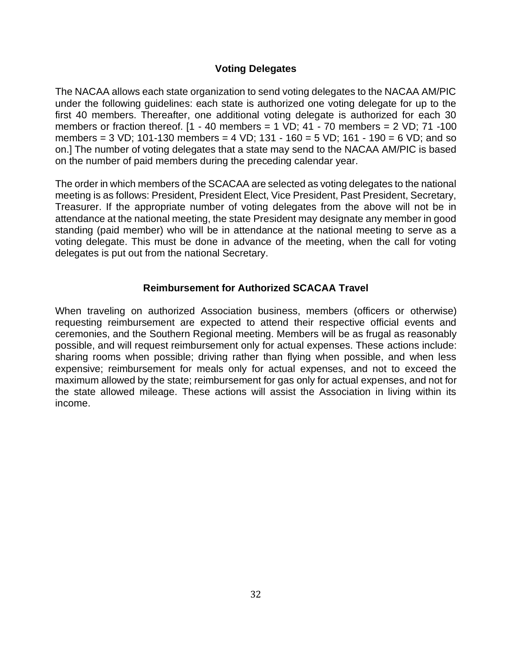# **Voting Delegates**

The NACAA allows each state organization to send voting delegates to the NACAA AM/PIC under the following guidelines: each state is authorized one voting delegate for up to the first 40 members. Thereafter, one additional voting delegate is authorized for each 30 members or fraction thereof.  $[1 - 40$  members = 1 VD; 41 - 70 members = 2 VD; 71 -100 members = 3 VD; 101-130 members = 4 VD; 131 - 160 = 5 VD; 161 - 190 = 6 VD; and so on.] The number of voting delegates that a state may send to the NACAA AM/PIC is based on the number of paid members during the preceding calendar year.

The order in which members of the SCACAA are selected as voting delegates to the national meeting is as follows: President, President Elect, Vice President, Past President, Secretary, Treasurer. If the appropriate number of voting delegates from the above will not be in attendance at the national meeting, the state President may designate any member in good standing (paid member) who will be in attendance at the national meeting to serve as a voting delegate. This must be done in advance of the meeting, when the call for voting delegates is put out from the national Secretary.

# **Reimbursement for Authorized SCACAA Travel**

When traveling on authorized Association business, members (officers or otherwise) requesting reimbursement are expected to attend their respective official events and ceremonies, and the Southern Regional meeting. Members will be as frugal as reasonably possible, and will request reimbursement only for actual expenses. These actions include: sharing rooms when possible; driving rather than flying when possible, and when less expensive; reimbursement for meals only for actual expenses, and not to exceed the maximum allowed by the state; reimbursement for gas only for actual expenses, and not for the state allowed mileage. These actions will assist the Association in living within its income.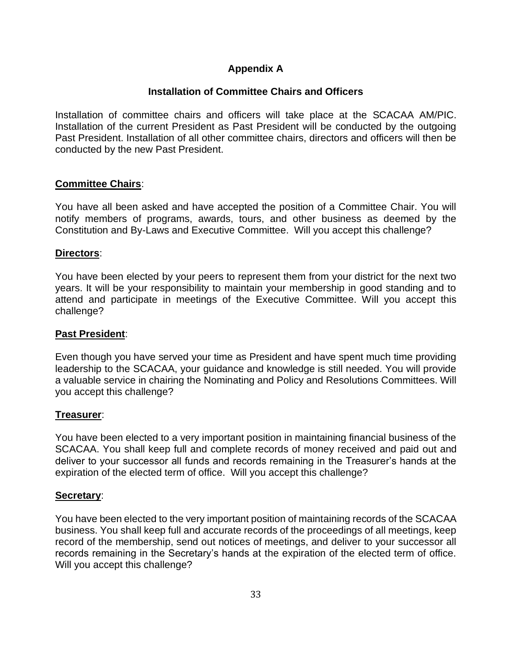# **Appendix A**

# **Installation of Committee Chairs and Officers**

Installation of committee chairs and officers will take place at the SCACAA AM/PIC. Installation of the current President as Past President will be conducted by the outgoing Past President. Installation of all other committee chairs, directors and officers will then be conducted by the new Past President.

#### **Committee Chairs**:

You have all been asked and have accepted the position of a Committee Chair. You will notify members of programs, awards, tours, and other business as deemed by the Constitution and By-Laws and Executive Committee. Will you accept this challenge?

### **Directors**:

You have been elected by your peers to represent them from your district for the next two years. It will be your responsibility to maintain your membership in good standing and to attend and participate in meetings of the Executive Committee. Will you accept this challenge?

#### **Past President**:

Even though you have served your time as President and have spent much time providing leadership to the SCACAA, your guidance and knowledge is still needed. You will provide a valuable service in chairing the Nominating and Policy and Resolutions Committees. Will you accept this challenge?

#### **Treasurer**:

You have been elected to a very important position in maintaining financial business of the SCACAA. You shall keep full and complete records of money received and paid out and deliver to your successor all funds and records remaining in the Treasurer's hands at the expiration of the elected term of office. Will you accept this challenge?

#### **Secretary**:

You have been elected to the very important position of maintaining records of the SCACAA business. You shall keep full and accurate records of the proceedings of all meetings, keep record of the membership, send out notices of meetings, and deliver to your successor all records remaining in the Secretary's hands at the expiration of the elected term of office. Will you accept this challenge?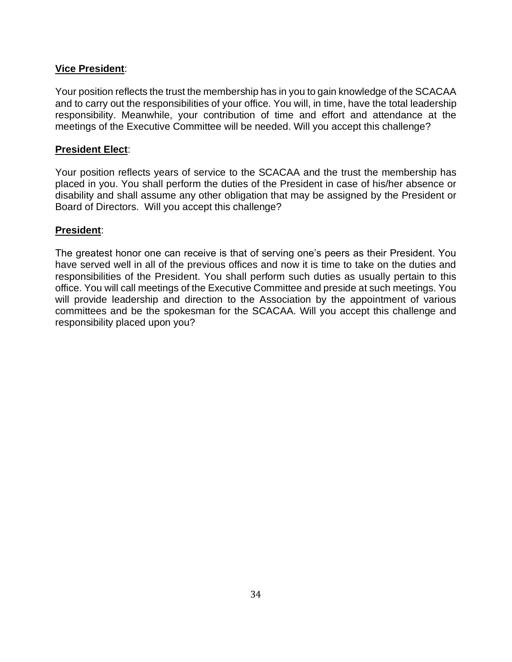# **Vice President**:

Your position reflects the trust the membership has in you to gain knowledge of the SCACAA and to carry out the responsibilities of your office. You will, in time, have the total leadership responsibility. Meanwhile, your contribution of time and effort and attendance at the meetings of the Executive Committee will be needed. Will you accept this challenge?

### **President Elect**:

Your position reflects years of service to the SCACAA and the trust the membership has placed in you. You shall perform the duties of the President in case of his/her absence or disability and shall assume any other obligation that may be assigned by the President or Board of Directors. Will you accept this challenge?

# **President**:

The greatest honor one can receive is that of serving one's peers as their President. You have served well in all of the previous offices and now it is time to take on the duties and responsibilities of the President. You shall perform such duties as usually pertain to this office. You will call meetings of the Executive Committee and preside at such meetings. You will provide leadership and direction to the Association by the appointment of various committees and be the spokesman for the SCACAA. Will you accept this challenge and responsibility placed upon you?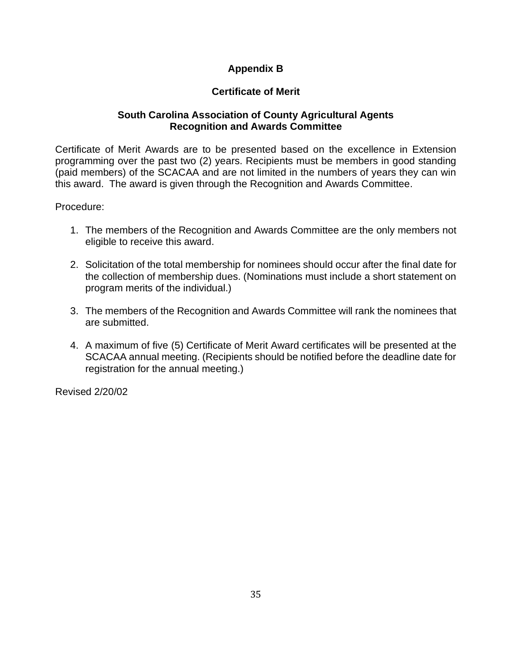# **Appendix B**

# **Certificate of Merit**

# **South Carolina Association of County Agricultural Agents Recognition and Awards Committee**

Certificate of Merit Awards are to be presented based on the excellence in Extension programming over the past two (2) years. Recipients must be members in good standing (paid members) of the SCACAA and are not limited in the numbers of years they can win this award. The award is given through the Recognition and Awards Committee.

Procedure:

- 1. The members of the Recognition and Awards Committee are the only members not eligible to receive this award.
- 2. Solicitation of the total membership for nominees should occur after the final date for the collection of membership dues. (Nominations must include a short statement on program merits of the individual.)
- 3. The members of the Recognition and Awards Committee will rank the nominees that are submitted.
- 4. A maximum of five (5) Certificate of Merit Award certificates will be presented at the SCACAA annual meeting. (Recipients should be notified before the deadline date for registration for the annual meeting.)

Revised 2/20/02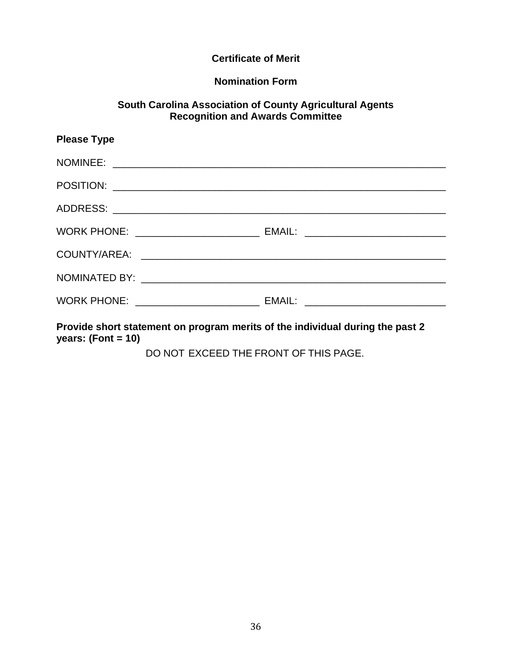# **Certificate of Merit**

### **Nomination Form**

### **South Carolina Association of County Agricultural Agents Recognition and Awards Committee**

| <b>Please Type</b>                                                               |  |
|----------------------------------------------------------------------------------|--|
|                                                                                  |  |
|                                                                                  |  |
|                                                                                  |  |
| WORK PHONE: _________________________________ EMAIL: ___________________________ |  |
|                                                                                  |  |
|                                                                                  |  |
| WORK PHONE: _____________________________ EMAIL: _______________________________ |  |
|                                                                                  |  |

**Provide short statement on program merits of the individual during the past 2 years: (Font = 10)**

DO NOT EXCEED THE FRONT OF THIS PAGE.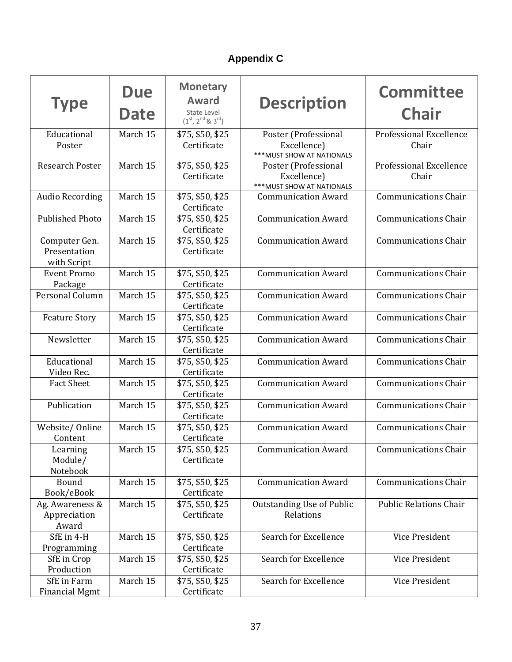# **Appendix C**

| <b>Type</b>                                  | <b>Due</b><br>Date | <b>Monetary</b><br>Award<br>State Level<br>$(1st, 2nd 8.3rd)$ | <b>Description</b>                                                | <b>Committee</b><br><b>Chair</b>        |
|----------------------------------------------|--------------------|---------------------------------------------------------------|-------------------------------------------------------------------|-----------------------------------------|
| Educational<br>Poster                        | March 15           | \$75, \$50, \$25<br>Certificate                               | Poster (Professional<br>Excellence)<br>*** MUST SHOW AT NATIONALS | <b>Professional Excellence</b><br>Chair |
| Research Poster                              | March 15           | \$75, \$50, \$25<br>Certificate                               | Poster (Professional<br>Excellence)<br>*** MUST SHOW AT NATIONALS | Professional Excellence<br>Chair        |
| <b>Audio Recording</b>                       | March 15           | \$75, \$50, \$25<br>Certificate                               | <b>Communication Award</b>                                        | <b>Communications Chair</b>             |
| <b>Published Photo</b>                       | March 15           | \$75, \$50, \$25<br>Certificate                               | <b>Communication Award</b>                                        | <b>Communications Chair</b>             |
| Computer Gen.<br>Presentation<br>with Script | March 15           | \$75, \$50, \$25<br>Certificate                               | <b>Communication Award</b>                                        | <b>Communications Chair</b>             |
| <b>Event Promo</b><br>Package                | March 15           | \$75, \$50, \$25<br>Certificate                               | <b>Communication Award</b>                                        | <b>Communications Chair</b>             |
| Personal Column                              | March 15           | \$75, \$50, \$25<br>Certificate                               | <b>Communication Award</b>                                        | <b>Communications Chair</b>             |
| <b>Feature Story</b>                         | March 15           | \$75, \$50, \$25<br>Certificate                               | <b>Communication Award</b>                                        | <b>Communications Chair</b>             |
| Newsletter                                   | March 15           | \$75, \$50, \$25<br>Certificate                               | <b>Communication Award</b>                                        | <b>Communications Chair</b>             |
| Educational<br>Video Rec.                    | March 15           | \$75, \$50, \$25<br>Certificate                               | <b>Communication Award</b>                                        | <b>Communications Chair</b>             |
| <b>Fact Sheet</b>                            | March 15           | \$75, \$50, \$25<br>Certificate                               | <b>Communication Award</b>                                        | <b>Communications Chair</b>             |
| Publication                                  | March 15           | \$75, \$50, \$25<br>Certificate                               | <b>Communication Award</b>                                        | <b>Communications Chair</b>             |
| Website/Online<br>Content                    | March 15           | \$75, \$50, \$25<br>Certificate                               | <b>Communication Award</b>                                        | <b>Communications Chair</b>             |
| Learning<br>Module/<br>Notebook              | March 15           | \$75, \$50, \$25<br>Certificate                               | <b>Communication Award</b>                                        | <b>Communications Chair</b>             |
| Bound<br>Book/eBook                          | March 15           | \$75, \$50, \$25<br>Certificate                               | <b>Communication Award</b>                                        | <b>Communications Chair</b>             |
| Ag. Awareness &<br>Appreciation<br>Award     | March 15           | \$75, \$50, \$25<br>Certificate                               | <b>Outstanding Use of Public</b><br>Relations                     | <b>Public Relations Chair</b>           |
| SfE in 4-H<br>Programming                    | March 15           | \$75, \$50, \$25<br>Certificate                               | Search for Excellence                                             | Vice President                          |
| SfE in Crop<br>Production                    | March 15           | \$75, \$50, \$25<br>Certificate                               | Search for Excellence                                             | Vice President                          |
| SfE in Farm<br><b>Financial Mgmt</b>         | March 15           | \$75, \$50, \$25<br>Certificate                               | Search for Excellence                                             | Vice President                          |